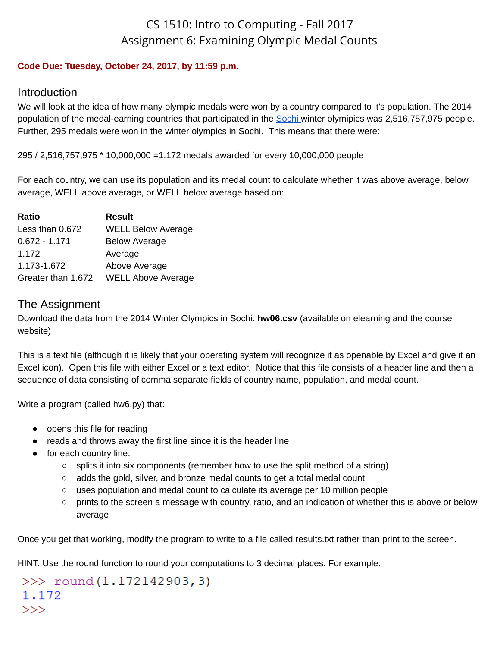# CS 1510: Intro to Computing - Fall 2017 Assignment 6: Examining Olympic Medal Counts

#### **Code Due: Tuesday, October 24, 2017, by 11:59 p.m.**

### Introduction

We will look at the idea of how many olympic medals were won by a country compared to it's population. The 2014 population of the medal-earning countries that participated in the [Sochi](https://www.olympic.org/olympic-results/) winter olymipics was 2,516,757,975 people. Further, 295 medals were won in the winter olympics in Sochi. This means that there were:

295 / 2,516,757,975 \* 10,000,000 =1.172 medals awarded for every 10,000,000 people

For each country, we can use its population and its medal count to calculate whether it was above average, below average, WELL above average, or WELL below average based on:

| Ratio              | <b>Result</b>             |
|--------------------|---------------------------|
| Less than 0.672    | <b>WELL Below Average</b> |
| $0.672 - 1.171$    | <b>Below Average</b>      |
| 1.172              | Average                   |
| 1.173-1.672        | Above Average             |
| Greater than 1.672 | <b>WELL Above Average</b> |

## The Assignment

Download the data from the 2014 Winter Olympics in Sochi: **hw06.csv** (available on elearning and the course website)

This is a text file (although it is likely that your operating system will recognize it as openable by Excel and give it an Excel icon). Open this file with either Excel or a text editor. Notice that this file consists of a header line and then a sequence of data consisting of comma separate fields of country name, population, and medal count.

Write a program (called hw6.py) that:

- opens this file for reading
- reads and throws away the first line since it is the header line
- for each country line:
	- $\circ$  splits it into six components (remember how to use the split method of a string)
	- adds the gold, silver, and bronze medal counts to get a total medal count
	- uses population and medal count to calculate its average per 10 million people
	- prints to the screen a message with country, ratio, and an indication of whether this is above or below average

Once you get that working, modify the program to write to a file called results.txt rather than print to the screen.

HINT: Use the round function to round your computations to 3 decimal places. For example:

 $\gg$  round  $(1.172142903, 3)$ 1.172  $>>$